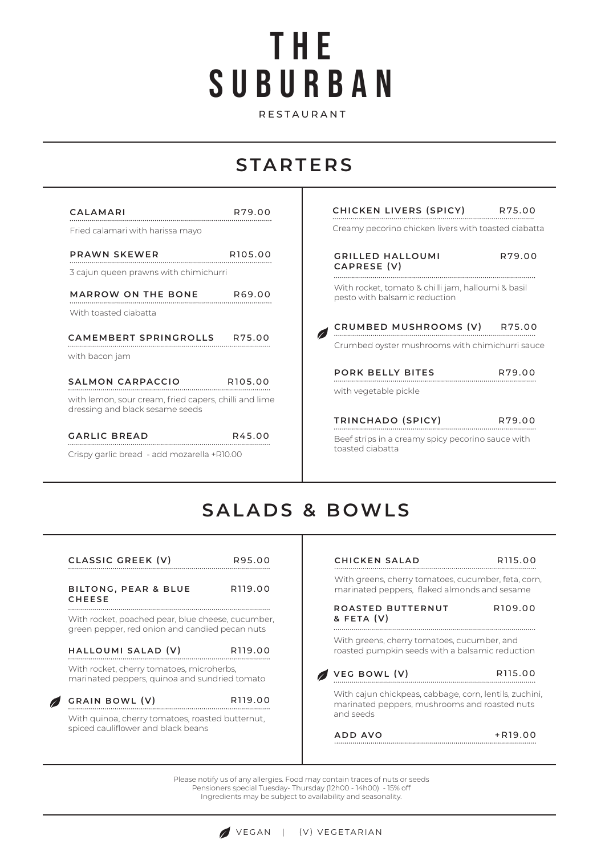# SUBURBAN THE

RESTAURANT

## **STARTERS**

| CALAMARI                                                                                 | R79.00              |
|------------------------------------------------------------------------------------------|---------------------|
| Fried calamari with harissa mayo                                                         |                     |
| <b>PRAWN SKEWER</b>                                                                      | R <sub>105.00</sub> |
| 3 cajun queen prawns with chimichurri                                                    |                     |
| MARROW ON THE BONE R69.00                                                                |                     |
| With toasted ciabatta                                                                    |                     |
| CAMEMBERT SPRINGROLLS R75.00<br>with bacon jam                                           |                     |
| SALMON CARPACCIO R105.00                                                                 |                     |
| with lemon, sour cream, fried capers, chilli and lime<br>dressing and black sesame seeds |                     |
| <b>GARLIC BREAD</b>                                                                      | R45.00              |
| Crispy garlic bread - add mozarella +R10.00                                              |                     |

| CHICKEN LIVERS (SPICY) R75.00                                                       |        |
|-------------------------------------------------------------------------------------|--------|
| Creamy pecorino chicken livers with toasted ciabatta                                |        |
| GRILLED HALLOUMI<br>CAPRESE (V)                                                     | R79.00 |
| With rocket, tomato & chilli jam, halloumi & basil<br>pesto with balsamic reduction |        |
|                                                                                     |        |
| CRUMBED MUSHROOMS (V) R75.00                                                        |        |
| Crumbed oyster mushrooms with chimichurri sauce                                     |        |
| <b>PORK BELLY BITES</b>                                                             | R79.00 |
| with vegetable pickle                                                               |        |
| TRINCHADO (SPICY)                                                                   | R79.00 |

## **SALADS & BOWLS**

т

toasted ciabatta

| CLASSIC GREEK (V)                                                                                        | R95.00              | CHICKEN SALAD                                                                                                        | R115 00             |
|----------------------------------------------------------------------------------------------------------|---------------------|----------------------------------------------------------------------------------------------------------------------|---------------------|
| <b>BILTONG, PEAR &amp; BLUE</b><br><b>CHEESE</b>                                                         | R <sub>119.00</sub> | With greens, cherry tomatoes, cucumber, feta, corn,<br>marinated peppers, flaked almonds and sesame                  |                     |
| With rocket, poached pear, blue cheese, cucumber,<br>green pepper, red onion and candied pecan nuts      |                     | ROASTED BUTTERNUT<br>& FETA (V)                                                                                      | R <sub>109.00</sub> |
| HALLOUMI SALAD (V)                                                                                       | R <sub>119.00</sub> | With greens, cherry tomatoes, cucumber, and<br>roasted pumpkin seeds with a balsamic reduction                       |                     |
| With rocket, cherry tomatoes, microherbs,<br>marinated peppers, quinoa and sundried tomato               |                     | VEG BOWL (V)                                                                                                         | R115 00             |
| GRAIN BOWL (V)<br>With quinoa, cherry tomatoes, roasted butternut,<br>spiced cauliflower and black beans | R <sub>119.00</sub> | With cajun chickpeas, cabbage, corn, lentils, zuchini,<br>marinated peppers, mushrooms and roasted nuts<br>and seeds |                     |
|                                                                                                          |                     | ADD AVO                                                                                                              | +R19.00             |

Please notify us of any allergies. Food may contain traces of nuts or seeds Pensioners special Tuesday- Thursday (12h00 - 14h00) - 15% off Ingredients may be subject to availability and seasonality.

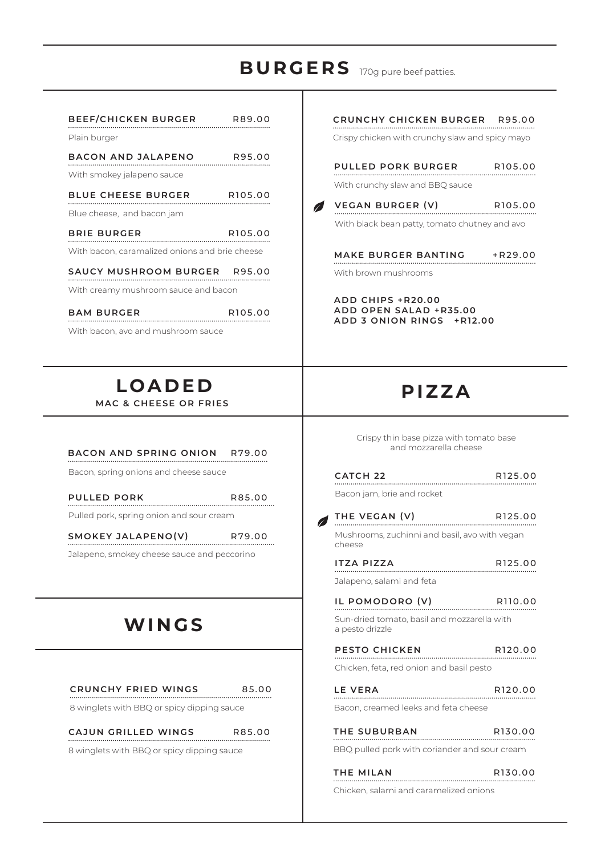## 170g pure beef patties. **BURGERS**

 $\mathscr{L}$ 

| BEEF/CHICKEN BURGER R89.00                               |         | <b>CRUNCHY CHICKEN BURG</b>                                         |
|----------------------------------------------------------|---------|---------------------------------------------------------------------|
| Plain burger                                             |         | Crispy chicken with crunchy slaw                                    |
| BACON AND JALAPENO R95.00                                |         | <b>PULLED PORK BURGER</b>                                           |
| With smokey jalapeno sauce                               |         |                                                                     |
| BLUE CHEESE BURGER R105.00                               |         | With crunchy slaw and BBQ sauce                                     |
| Blue cheese, and bacon jam                               |         | VEGAN BURGER (V)<br>$\sqrt{2}$                                      |
| <b>BRIE BURGER</b>                                       | R105.00 | With black bean patty, tomato ch                                    |
| With bacon, caramalized onions and brie cheese           |         | <b>MAKE BURGER BANTING</b>                                          |
| SAUCY MUSHROOM BURGER R95.00                             |         | With brown mushrooms                                                |
| With creamy mushroom sauce and bacon                     |         |                                                                     |
| BAM BURGER R105.00<br>With bacon, avo and mushroom sauce |         | ADD CHIPS +R20.00<br>ADD OPEN SALAD +R35.0<br>ADD 3 ONION RINGS +RT |
| <b>LOADED</b><br><b>MAC &amp; CHEESE OR FRIES</b>        |         | PIZZA                                                               |
| BACON AND SPRING ONION R79.00                            |         | Crispy thin base pizza with t<br>and mozzarella che                 |

Bacon, spring onions and cheese sauce

| PULLED PORK | R85.00 |
|-------------|--------|
|             |        |

Pulled pork, spring onion and sour cream

**SMOKEY JALAPENO(V)**  P79.00

Jalapeno, smokey cheese sauce and peccorino

## **WINGS**

| <b>CRUNCHY FRIED WINGS</b> | 85.00 |
|----------------------------|-------|
|                            |       |

8 winglets with BBQ or spicy dipping sauce

## **CAJUN GRILLED WINGS**

R85.00

8 winglets with BBQ or spicy dipping sauce

| CRUNCHY CHICKEN BURGER R95.00                                                                                                                                                                                                                        |         |
|------------------------------------------------------------------------------------------------------------------------------------------------------------------------------------------------------------------------------------------------------|---------|
| Crispy chicken with crunchy slaw and spicy mayo                                                                                                                                                                                                      |         |
|                                                                                                                                                                                                                                                      |         |
| PULLED PORK BURGER R105.00                                                                                                                                                                                                                           |         |
| With crunchy slaw and BBQ sauce                                                                                                                                                                                                                      |         |
| VEGAN BURGER (V) R105.00                                                                                                                                                                                                                             |         |
| With black bean patty, tomato chutney and avo                                                                                                                                                                                                        |         |
|                                                                                                                                                                                                                                                      |         |
| MAKE BURGER BANTING +R29.00                                                                                                                                                                                                                          |         |
| With brown mushrooms                                                                                                                                                                                                                                 |         |
| ADD CHIPS +R20.00                                                                                                                                                                                                                                    |         |
| ADD OPEN SALAD +R35.00                                                                                                                                                                                                                               |         |
| ADD 3 ONION RINGS +R12.00                                                                                                                                                                                                                            |         |
|                                                                                                                                                                                                                                                      |         |
|                                                                                                                                                                                                                                                      |         |
|                                                                                                                                                                                                                                                      |         |
| PIZZA                                                                                                                                                                                                                                                |         |
|                                                                                                                                                                                                                                                      |         |
| Crispy thin base pizza with tomato base                                                                                                                                                                                                              |         |
| and mozzarella cheese                                                                                                                                                                                                                                |         |
|                                                                                                                                                                                                                                                      |         |
| <b>R125.00</b><br>Profit in the profit of the profit of the profit of the profit of the profit of the profit of the profit of the<br>Second profit of the profit of the profit of the profit of the profit of the profit of the profit o<br>CATCH 22 |         |
| Bacon jam, brie and rocket                                                                                                                                                                                                                           |         |
| THE VEGAN (V)                                                                                                                                                                                                                                        | R125.00 |
| Mushrooms, zuchinni and basil, avo with vegan                                                                                                                                                                                                        |         |
| cheese                                                                                                                                                                                                                                               |         |
| <b>ITZA PIZZA</b>                                                                                                                                                                                                                                    |         |
| Talaneno salami and feta                                                                                                                                                                                                                             |         |

| Bacon jam, brie and rocket                              |                     |
|---------------------------------------------------------|---------------------|
| THE VEGAN (V)                                           | R <sub>125.00</sub> |
| Mushrooms, zuchinni and basil, avo with vegan<br>cheese |                     |
| <b>ITZA PIZZA</b>                                       | R <sub>125.00</sub> |
| Jalapeno, salami and feta                               |                     |
| IL POMODORO (V)                                         | R <sub>110.00</sub> |

Sun-dried tomato, basil and mozzarella with a pesto drizzle **IL POMODORO (V)** 

| <b>PESTO CHICKEN</b>                     | R <sub>120.00</sub> |
|------------------------------------------|---------------------|
| Chicken, feta, red onion and basil pesto |                     |
| LE VERA                                  | R <sub>120.00</sub> |

| Bacon, creamed leeks and feta cheese |  |
|--------------------------------------|--|

| THE SUBURBAN                                  | R <sub>130.00</sub> |
|-----------------------------------------------|---------------------|
| BBO pulled pork with coriander and sour cream |                     |

| THE MILAN | R <sub>130.00</sub> |
|-----------|---------------------|
|-----------|---------------------|

Chicken, salami and caramelized onions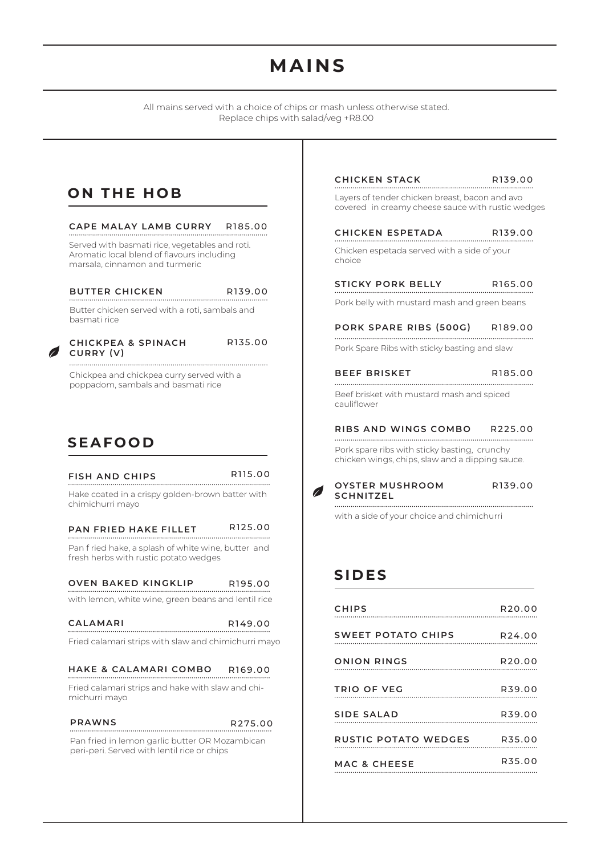## **MAINS**

All mains served with a choice of chips or mash unless otherwise stated. Replace chips with salad/veg +R8.00

### **ON THE HOB**

### **CAPE MALAY LAMB CURRY** R185.00

Served with basmati rice, vegetables and roti. Aromatic local blend of flavours including marsala, cinnamon and turmeric

#### **BUTTER CHICKEN**

R139.00

Butter chicken served with a roti, sambals and basmati rice

#### **CHICKPEA & SPINACH CURRY (V)**

R135.00

Chickpea and chickpea curry served with a poppadom, sambals and basmati rice

### **SEAFOOD**

### **FISH AND CHIPS**

R115.00

Hake coated in a crispy golden-brown batter with chimichurri mayo

#### R125.00 **PAN FRIED HAKE FILLET**

Pan f ried hake, a splash of white wine, butter and fresh herbs with rustic potato wedges

#### **OVEN BAKED KINGKLIP** R195.00

with lemon, white wine, green beans and lentil rice

| CALAMARI | R <sub>149.00</sub> |
|----------|---------------------|
|          |                     |

Fried calamari strips with slaw and chimichurri mayo

#### **HAKE & CALAMARI COMBO** R169.00

Fried calamari strips and hake with slaw and chimichurri mayo

### **PRAWNS**

Pan fried in lemon garlic butter OR Mozambican peri-peri. Served with lentil rice or chips R275.00

#### **CHICKEN STACK** R139.00

Layers of tender chicken breast, bacon and avo covered in creamy cheese sauce with rustic wedges

#### **CHICKEN ESPETADA** R139.00 .<br>.......................

Chicken espetada served with a side of your choice

#### **STICKY PORK BELLY** R165.00

Pork belly with mustard mash and green beans

#### **PORK SPARE RIBS (500G)**  R189.00

Pork Spare Ribs with sticky basting and slaw

#### **BEEF BRISKET** R185.00

Beef brisket with mustard mash and spiced cauliflower

#### **RIBS AND WINGS COMBO** R225.00

Pork spare ribs with sticky basting, crunchy chicken wings, chips, slaw and a dipping sauce.



with a side of your choice and chimichurri

### **SIDES**

| <b>CHIPS</b>                | R20.00             |
|-----------------------------|--------------------|
| SWEET POTATO CHIPS R24.00   |                    |
| <b>ONION RINGS</b>          | R <sub>20.00</sub> |
| TRIO OF VEG                 | R39.00             |
| <b>SIDE SALAD</b>           | R39.00             |
| RUSTIC POTATO WEDGES R35.00 |                    |
| <b>MAC &amp; CHEESE</b>     | R35.00             |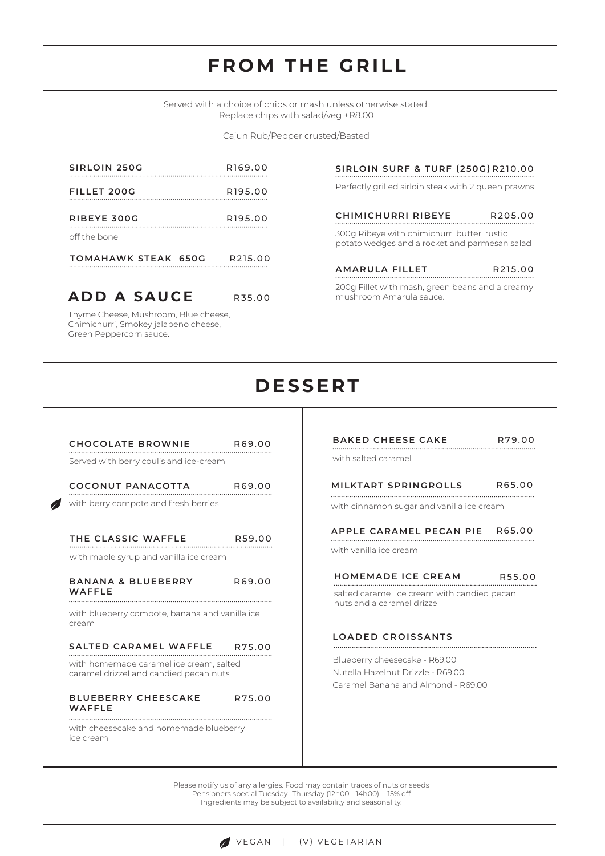## **FROM THE GRILL**

Served with a choice of chips or mash unless otherwise stated. Replace chips with salad/veg +R8.00

Cajun Rub/Pepper crusted/Basted

| <b>TOMAHAWK STEAK 650G</b> | R <sub>215.00</sub> |
|----------------------------|---------------------|
| off the bone               |                     |
| RIBEYE 300G                | R <sub>195.00</sub> |
| FILLET 200G                | R <sub>195.00</sub> |
| SIRLOIN 250G               | R <sub>169.00</sub> |

Thyme Cheese, Mushroom, Blue cheese, Chimichurri, Smokey jalapeno cheese, Green Peppercorn sauce.

**ADD A SAUCE**

Perfectly grilled sirloin steak with 2 queen prawns 300g Ribeye with chimichurri butter, rustic potato wedges and a rocket and parmesan salad **SIRLOIN SURF & TURF (250G)** R210.00 **CHIMICHURRI RIBEYE AMARULA FILLET** R205.00 R215.00

200g Fillet with mash, green beans and a creamy mushroom Amarula sauce.

### **DESSERT**

R35.00

| CHOCOLATE BROWNIE R69.00                                                                                          |        |
|-------------------------------------------------------------------------------------------------------------------|--------|
| Served with berry coulis and ice-cream                                                                            |        |
| COCONUT PANACOTTA R69.00                                                                                          |        |
| with berry compote and fresh berries                                                                              |        |
| THE CLASSIC WAFFLE                                                                                                | R59.00 |
| with maple syrup and vanilla ice cream                                                                            |        |
| <b>BANANA &amp; BLUEBERRY</b><br>WAFFLE                                                                           | R69.00 |
| with blueberry compote, banana and vanilla ice<br>cream                                                           |        |
| SALTED CARAMEL WAFFLE R75.00<br>with homemade caramel ice cream, salted<br>caramel drizzel and candied pecan nuts |        |
| <b>BLUEBERRY CHEESCAKE</b><br>WAFFLE                                                                              | R75.00 |
| with cheesecake and homemade blueberry<br>ice cream                                                               |        |

### **BAKED CHEESE CAKE** R79.0

R79.00

with salted caramel

#### **MILKTART SPRINGROLLS** R65.00

with cinnamon sugar and vanilla ice cream

**APPLE CARAMEL PECAN PIE** R65.00

with vanilla ice cream

#### **HOMEMADE ICE CREAM** R55.00 . . . . . . . . . . . . . . . . . . .

salted caramel ice cream with candied pecan nuts and a caramel drizzel

### **LOADED CROISSANTS**

Blueberry cheesecake - R69.00 Nutella Hazelnut Drizzle - R69.00 Caramel Banana and Almond - R69.00

Please notify us of any allergies. Food may contain traces of nuts or seeds Pensioners special Tuesday- Thursday (12h00 - 14h00) - 15% off Ingredients may be subject to availability and seasonality.

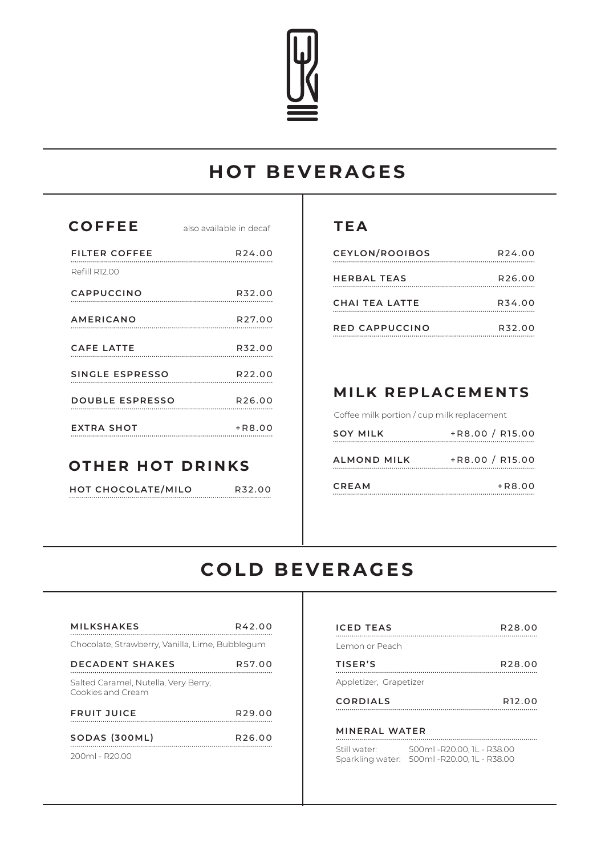

## **HOT BEVERAGES**

| <b>COFFEE</b>          | also available in decaf |
|------------------------|-------------------------|
| <b>FILTER COFFEE</b>   | R24.00                  |
| Refill R12.00          |                         |
| CAPPUCCINO             | R32.00                  |
| <b>AMERICANO</b>       | R27.00                  |
| CAFE LATTE             | R32.00                  |
| SINGLE ESPRESSO R22.00 |                         |
| DOUBLE ESPRESSO R26.00 |                         |
| <b>EXTRA SHOT</b>      | +R8.00                  |

### **OTHER HOT DRINKS**

**HOT CHOCOLATE/MILO**

R32.00 ...................

### **TEA**

| <b>CEYLON/ROOIBOS</b> | R <sub>24.00</sub> |
|-----------------------|--------------------|
| <b>HERBAL TEAS</b>    | R <sub>26.00</sub> |
| CHAI TEA LATTE        | R34.00             |
| RED CAPPUCCINO        | R32.00             |

### **MILK REPLACEMENTS**

Coffee milk portion / cup milk replacement

| <b>SOY MILK</b>    | +R8.00 / R15.00   |
|--------------------|-------------------|
| <b>ALMOND MILK</b> | $+R8.00 / R15.00$ |
| CREAM              | $+R8.00$          |

## **COLD BEVERAGES**

| <b>MILKSHAKES</b>                                         | R42.00             | <b>ICED TEAS</b>                            |
|-----------------------------------------------------------|--------------------|---------------------------------------------|
| Chocolate, Strawberry, Vanilla, Lime, Bubblegum           |                    | Lemon or Peach                              |
| <b>DECADENT SHAKES</b>                                    | R57.00             | TISER'S                                     |
| Salted Caramel, Nutella, Very Berry,<br>Cookies and Cream |                    | Appletizer, Grapetizer                      |
| <b>FRUIT JUICE</b>                                        | R <sub>29.00</sub> | <b>CORDIALS</b>                             |
| SODAS (300ML)                                             | R <sub>26.00</sub> | <b>MINERAL WATER</b>                        |
| $200m1 - R2000$                                           |                    | Still water:<br>500<br>Sparkling water: 500 |
|                                                           |                    |                                             |

| R42.00 | <b>ICED TEAS</b><br>R <sub>28</sub> .00                                                  |
|--------|------------------------------------------------------------------------------------------|
| olegum | Lemon or Peach                                                                           |
| R57.00 | TISER'S<br>R <sub>28</sub> .00                                                           |
|        | Appletizer, Grapetizer                                                                   |
|        | <b>CORDIALS</b><br>R <sub>12</sub> .00                                                   |
| R29.00 |                                                                                          |
| R26.00 | <b>MINERAL WATER</b>                                                                     |
|        | Still water: 500ml - R20.00, 1L - R38.00<br>Sparkling water: 500ml - R20.00, 1L - R38.00 |